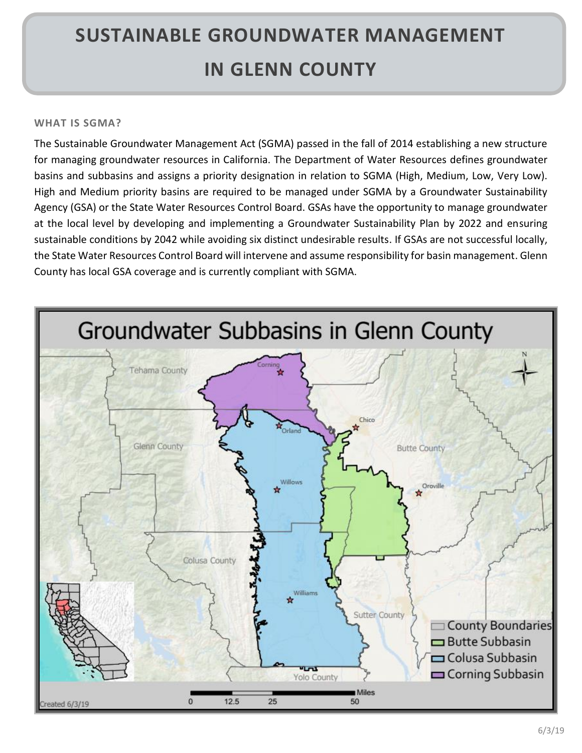# **SUSTAINABLE GROUNDWATER MANAGEMENT IN GLENN COUNTY**

## **WHAT IS SGMA?**

The Sustainable Groundwater Management Act (SGMA) passed in the fall of 2014 establishing a new structure for managing groundwater resources in California. The Department of Water Resources defines groundwater basins and subbasins and assigns a priority designation in relation to SGMA (High, Medium, Low, Very Low). High and Medium priority basins are required to be managed under SGMA by a Groundwater Sustainability Agency (GSA) or the State Water Resources Control Board. GSAs have the opportunity to manage groundwater at the local level by developing and implementing a Groundwater Sustainability Plan by 2022 and ensuring sustainable conditions by 2042 while avoiding six distinct undesirable results. If GSAs are not successful locally, the State Water Resources Control Board will intervene and assume responsibility for basin management. Glenn County has local GSA coverage and is currently compliant with SGMA.